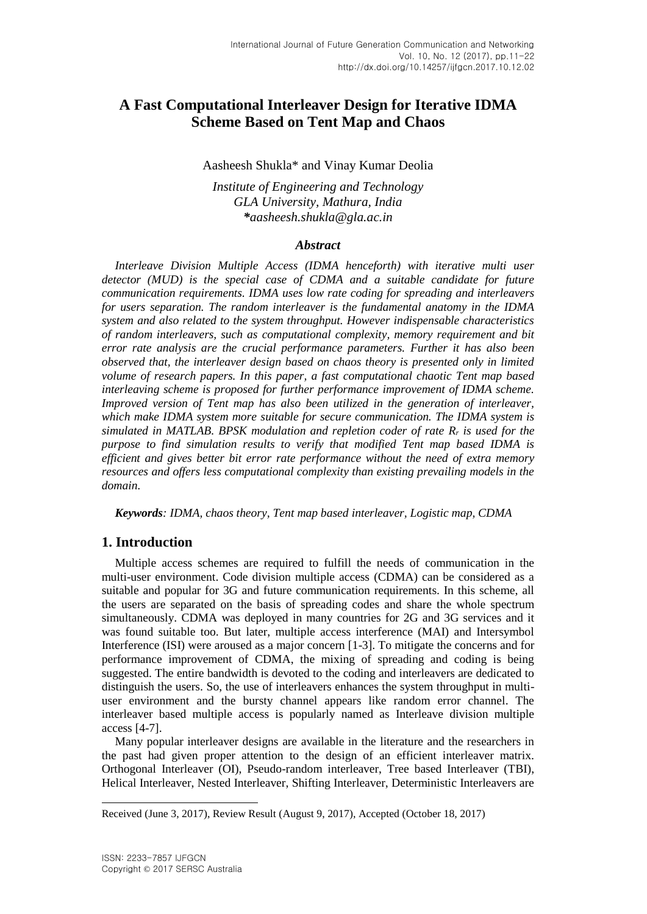# **A Fast Computational Interleaver Design for Iterative IDMA Scheme Based on Tent Map and Chaos**

#### Aasheesh Shukla\* and Vinay Kumar Deolia

*Institute of Engineering and Technology GLA University, Mathura, India \*aasheesh.shukla@gla.ac.in*

#### *Abstract*

*Interleave Division Multiple Access (IDMA henceforth) with iterative multi user detector (MUD) is the special case of CDMA and a suitable candidate for future communication requirements. IDMA uses low rate coding for spreading and interleavers for users separation. The random interleaver is the fundamental anatomy in the IDMA system and also related to the system throughput. However indispensable characteristics of random interleavers, such as computational complexity, memory requirement and bit error rate analysis are the crucial performance parameters. Further it has also been observed that, the interleaver design based on chaos theory is presented only in limited volume of research papers. In this paper, a fast computational chaotic Tent map based interleaving scheme is proposed for further performance improvement of IDMA scheme. Improved version of Tent map has also been utilized in the generation of interleaver, which make IDMA system more suitable for secure communication. The IDMA system is simulated in MATLAB. BPSK modulation and repletion coder of rate R<sup>r</sup> is used for the purpose to find simulation results to verify that modified Tent map based IDMA is efficient and gives better bit error rate performance without the need of extra memory resources and offers less computational complexity than existing prevailing models in the domain.*

*Keywords: IDMA, chaos theory, Tent map based interleaver, Logistic map, CDMA*

## **1. Introduction**

Multiple access schemes are required to fulfill the needs of communication in the multi-user environment. Code division multiple access (CDMA) can be considered as a suitable and popular for 3G and future communication requirements. In this scheme, all the users are separated on the basis of spreading codes and share the whole spectrum simultaneously. CDMA was deployed in many countries for 2G and 3G services and it was found suitable too. But later, multiple access interference (MAI) and Intersymbol Interference (ISI) were aroused as a major concern [1-3]. To mitigate the concerns and for performance improvement of CDMA, the mixing of spreading and coding is being suggested. The entire bandwidth is devoted to the coding and interleavers are dedicated to distinguish the users. So, the use of interleavers enhances the system throughput in multiuser environment and the bursty channel appears like random error channel. The interleaver based multiple access is popularly named as Interleave division multiple access [4-7].

Many popular interleaver designs are available in the literature and the researchers in the past had given proper attention to the design of an efficient interleaver matrix. Orthogonal Interleaver (OI), Pseudo-random interleaver, Tree based Interleaver (TBI), Helical Interleaver, Nested Interleaver, Shifting Interleaver, Deterministic Interleavers are

l

Received (June 3, 2017), Review Result (August 9, 2017), Accepted (October 18, 2017)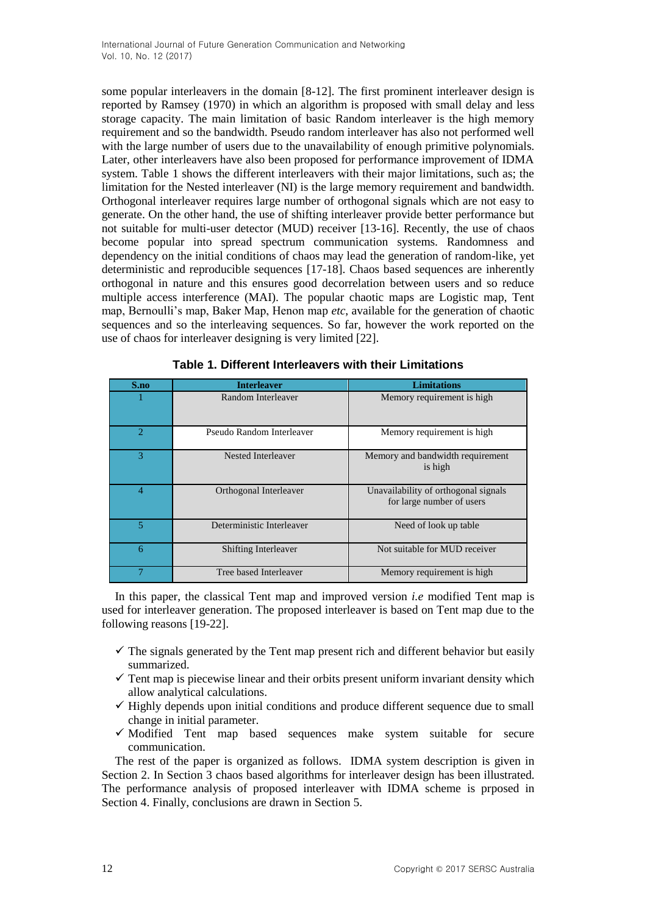some popular interleavers in the domain [8-12]. The first prominent interleaver design is reported by Ramsey (1970) in which an algorithm is proposed with small delay and less storage capacity. The main limitation of basic Random interleaver is the high memory requirement and so the bandwidth. Pseudo random interleaver has also not performed well with the large number of users due to the unavailability of enough primitive polynomials. Later, other interleavers have also been proposed for performance improvement of IDMA system. Table 1 shows the different interleavers with their major limitations, such as; the limitation for the Nested interleaver (NI) is the large memory requirement and bandwidth. Orthogonal interleaver requires large number of orthogonal signals which are not easy to generate. On the other hand, the use of shifting interleaver provide better performance but not suitable for multi-user detector (MUD) receiver [13-16]. Recently, the use of chaos become popular into spread spectrum communication systems. Randomness and dependency on the initial conditions of chaos may lead the generation of random-like, yet deterministic and reproducible sequences [17-18]. Chaos based sequences are inherently orthogonal in nature and this ensures good decorrelation between users and so reduce multiple access interference (MAI). The popular chaotic maps are Logistic map, Tent map, Bernoulli's map, Baker Map, Henon map *etc*, available for the generation of chaotic sequences and so the interleaving sequences. So far, however the work reported on the use of chaos for interleaver designing is very limited [22].

| S.no                        | <b>Interleaver</b>          | <b>Limitations</b>                                                |
|-----------------------------|-----------------------------|-------------------------------------------------------------------|
|                             | Random Interleaver          | Memory requirement is high.                                       |
| $\mathcal{D}_{\mathcal{L}}$ | Pseudo Random Interleaver   | Memory requirement is high                                        |
| 3                           | Nested Interleaver          | Memory and bandwidth requirement<br>is high                       |
| 4                           | Orthogonal Interleaver      | Unavailability of orthogonal signals<br>for large number of users |
| 5                           | Deterministic Interleaver   | Need of look up table                                             |
| 6                           | <b>Shifting Interleaver</b> | Not suitable for MUD receiver                                     |
|                             | Tree based Interleaver      | Memory requirement is high                                        |

In this paper, the classical Tent map and improved version *i.e* modified Tent map is used for interleaver generation. The proposed interleaver is based on Tent map due to the following reasons [19-22].

- $\checkmark$  The signals generated by the Tent map present rich and different behavior but easily summarized.
- $\checkmark$  Tent map is piecewise linear and their orbits present uniform invariant density which allow analytical calculations.
- $\checkmark$  Highly depends upon initial conditions and produce different sequence due to small change in initial parameter.
- $\checkmark$  Modified Tent map based sequences make system suitable for secure communication.

The rest of the paper is organized as follows. IDMA system description is given in Section 2. In Section 3 chaos based algorithms for interleaver design has been illustrated. The performance analysis of proposed interleaver with IDMA scheme is prposed in Section 4. Finally, conclusions are drawn in Section 5.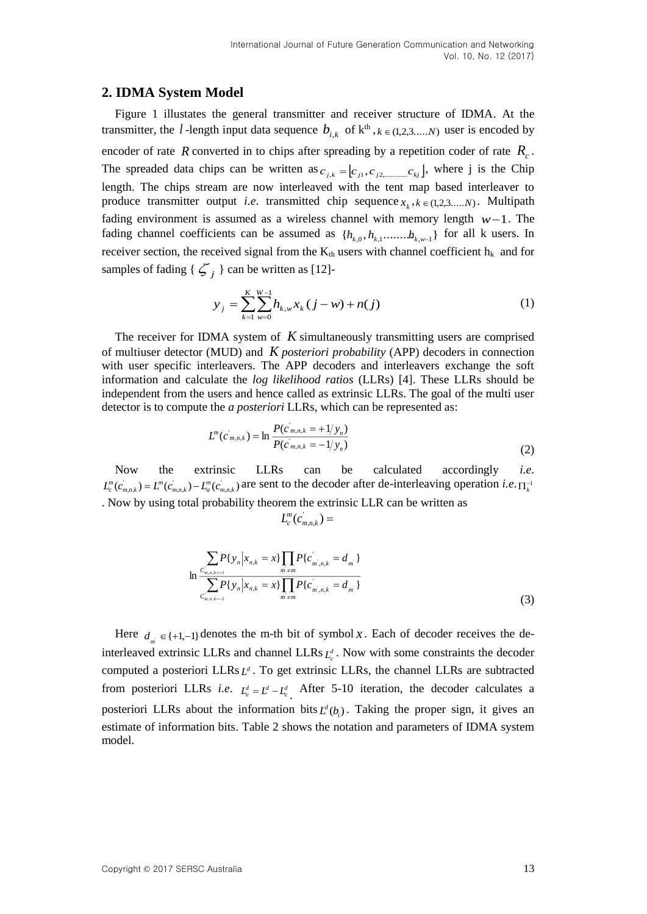#### **2. IDMA System Model**

Figure 1 illustates the general transmitter and receiver structure of IDMA. At the transmitter, the *l*-length input data sequence  $b_{i,k}$  of  $k^{\text{th}}$ ,  $k \in (1,2,3,...,N)$  user is encoded by encoder of rate R converted in to chips after spreading by a repetition coder of rate  $R_c$ . The spreaded data chips can be written as  $c_{j,k} = [c_{j1}, c_{j2, \dots} c_{kj}]$ , where j is the Chip length. The chips stream are now interleaved with the tent map based interleaver to produce transmitter output *i.e.* transmitted chip sequence  $x_k$ ,  $k \in (1,2,3,...,N)$ . Multipath fading environment is assumed as a wireless channel with memory length  $w-1$ . The fading channel coefficients can be assumed as  $\{h_{k,0}, h_{k,1}, \ldots, h_{k,w-1}\}$  for all k users. In receiver section, the received signal from the  $K_{th}$  users with channel coefficient  $h_k$  and for samples of fading  $\{\zeta_j\}$  can be written as [12]-

$$
y_j = \sum_{k=1}^{K} \sum_{w=0}^{W-1} h_{k,w} x_k (j - w) + n(j)
$$
 (1)

The receiver for IDMA system of *K* simultaneously transmitting users are comprised of multiuser detector (MUD) and *K posteriori probability* (APP) decoders in connection with user specific interleavers. The APP decoders and interleavers exchange the soft information and calculate the *log likelihood ratios* (LLRs) [4]. These LLRs should be independent from the users and hence called as extrinsic LLRs. The goal of the multi user detector is to compute the *a posteriori* LLRs, which can be represented as:

$$
L^{m}(c_{m,n,k}) = \ln \frac{P(c_{m,n,k} = +1/y_n)}{P(c_{m,n,k} = -1/y_n)}
$$
\n(2)

Now the extrinsic LLRs can be calculated accordingly *i.e*.  $L_c^m(c_{m,n,k}) = L^m(c_{m,n,k}) - L_a^m(c_{m,n,k})$  are sent to the decoder after de-interleaving operation *i.e.*  $\Pi_k^{-1}$ . Now by using total probability theorem the extrinsic LLR can be written as

$$
L_c^m(c_{m,n,k}^{\dagger})=
$$

$$
\sum_{\substack{C_{m,n,k=+1}^{\infty} \\ \sum_{m=1}^{\infty} P\{y_n | x_{n,k} = x\} \prod_{m \neq m} P\{c_{m,n,k}^{\dagger} = d_m\} \\ C_{m,n,k=1}^{\infty} P\{y_n | x_{n,k} = x\} \prod_{m \neq m} P\{c_{m,n,k}^{\dagger} = d_m\}}
$$
\n(3)

Here  $d_{m} \in \{+1,-1\}$  denotes the m-th bit of symbol x. Each of decoder receives the deinterleaved extrinsic LLRs and channel LLRs  $L_c^d$ . Now with some constraints the decoder computed a posteriori LLRs  $L^d$ . To get extrinsic LLRs, the channel LLRs are subtracted from posteriori LLRs *i.e.*  $L_e^d = L^d - L_e^d$ . After 5-10 iteration, the decoder calculates a posteriori LLRs about the information bits  $L^d(b_i)$ . Taking the proper sign, it gives an estimate of information bits. Table 2 shows the notation and parameters of IDMA system model.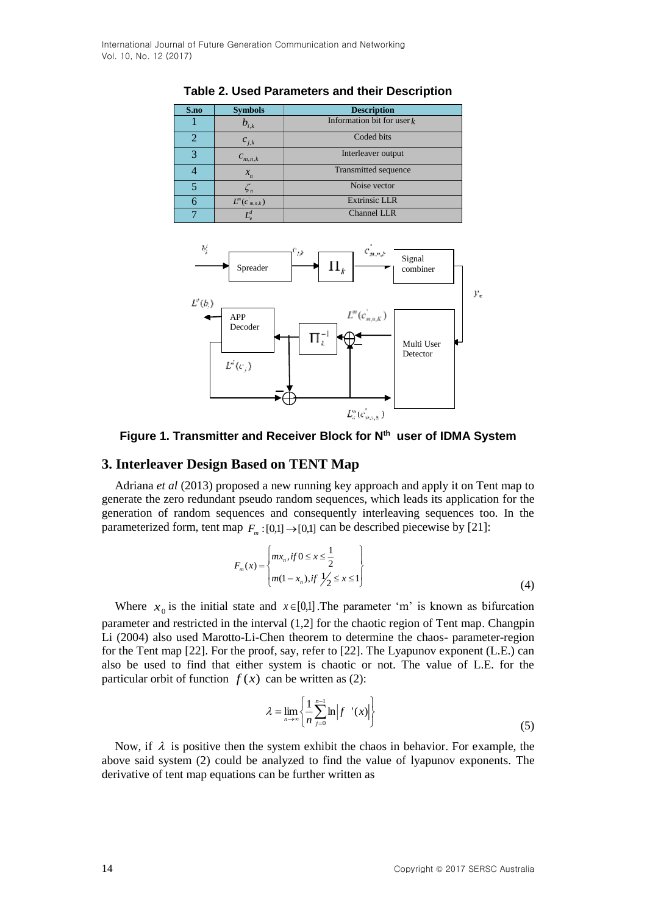| S.no         | <b>Symbols</b>             | <b>Description</b>           |
|--------------|----------------------------|------------------------------|
|              | $b_{i,k}$                  | Information bit for user $k$ |
|              | $c_{j,k}$                  | Coded bits                   |
| $\mathbf{3}$ | $\boldsymbol{C}_{m,n,k}$   | Interleaver output           |
|              |                            | Transmitted sequence         |
|              | $\overline{\mathcal{Z}}$ n | Noise vector                 |
|              | $L^m(c_{m,n,k})$           | <b>Extrinsic LLR</b>         |
|              |                            | <b>Channel LLR</b>           |

**Table 2. Used Parameters and their Description**



**Figure 1. Transmitter and Receiver Block for Nth user of IDMA System**

#### **3. Interleaver Design Based on TENT Map**

Adriana *et al* (2013) proposed a new running key approach and apply it on Tent map to generate the zero redundant pseudo random sequences, which leads its application for the generation of random sequences and consequently interleaving sequences too. In the parameterized form, tent map  $F_m$ : [0,1]  $\rightarrow$  [0,1] can be described piecewise by [21]:

$$
F_m(x) = \begin{cases} mx_n, if 0 \le x \le \frac{1}{2} \\ m(1 - x_n), if \frac{1}{2} \le x \le 1 \end{cases}
$$
(4)

Where  $x_0$  is the initial state and  $x \in [0,1]$ . The parameter 'm' is known as bifurcation parameter and restricted in the interval (1,2] for the chaotic region of Tent map. Changpin Li (2004) also used Marotto-Li-Chen theorem to determine the chaos- parameter-region for the Tent map [22]. For the proof, say, refer to [22]. The Lyapunov exponent (L.E.) can also be used to find that either system is chaotic or not. The value of L.E. for the particular orbit of function  $f(x)$  can be written as (2):

$$
\lambda = \lim_{n \to \infty} \left\{ \frac{1}{n} \sum_{j=0}^{n-1} \ln \left| f'(x) \right| \right\} \tag{5}
$$

Now, if  $\lambda$  is positive then the system exhibit the chaos in behavior. For example, the above said system (2) could be analyzed to find the value of lyapunov exponents. The derivative of tent map equations can be further written as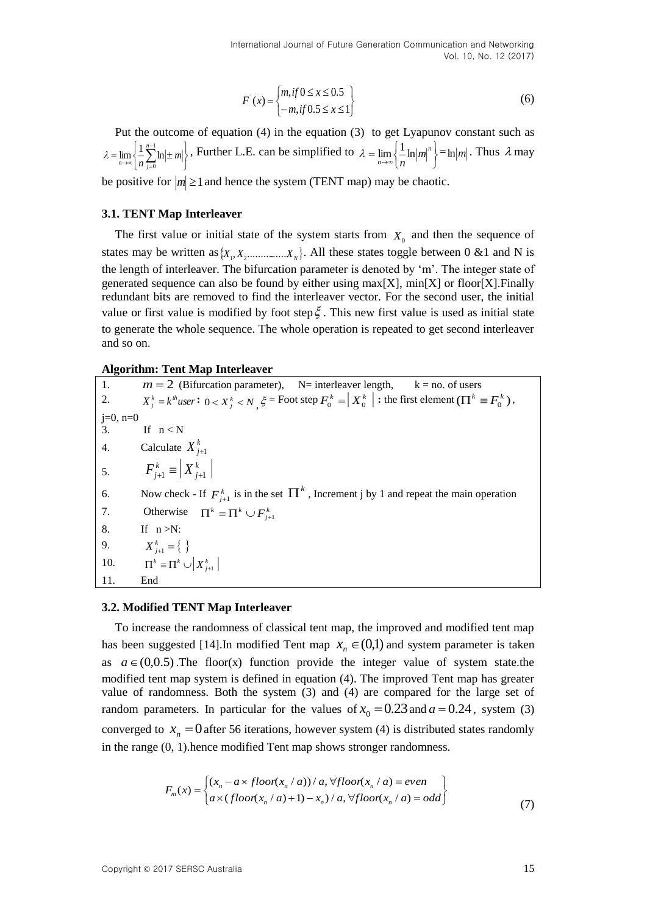$$
F'(x) = \begin{cases} m, \text{if } 0 \le x \le 0.5 \\ -m, \text{if } 0.5 \le x \le 1 \end{cases}
$$
 (6)

Put the outcome of equation (4) in the equation (3) to get Lyapunov constant such as J <sup>1</sup>  $\left| \right|$ Ų ſ.  $=\lim_{n\to\infty}\left\{\frac{1}{n}\sum_{n=1}^{n-1}\ln\right\}$  $\rightarrow \infty$   $\left[ n \right]$ 1 0  $\lim \left\{\frac{1}{n}\sum_{n=1}^{n-1} \ln \right\}$  $\lambda = \lim_{n \to \infty} \left\{ \frac{1}{n} \sum_{j=0}^{n} \ln \left| \pm m \right| \right\},$  Further L.E. can be simplified to  $\left\{\begin{array}{c} \phantom{a}\\ \phantom{a}\\ \phantom{a}\end{array}\right\}$  $=\lim_{n\to\infty}$ *n*  $\lim_{n\to\infty}$  $\frac{1}{n}$   $\lim_{n\to\infty}$ *n*  $\lambda = \lim_{n \to \infty} \frac{1}{n} \ln |m|^{n}$  =  $\ln |m|$ . Thus  $\lambda$  may

be positive for  $|m| \ge 1$  and hence the system (TENT map) may be chaotic.

#### **3.1. TENT Map Interleaver**

The first value or initial state of the system starts from  $X_0$  and then the sequence of states may be written as  $\{X_1, X_2, \dots, X_N\}$ . All these states toggle between 0 &1 and N is the length of interleaver. The bifurcation parameter is denoted by 'm'. The integer state of generated sequence can also be found by either using  $max[X]$ ,  $min[X]$  or floor[X]. Finally redundant bits are removed to find the interleaver vector. For the second user, the initial value or first value is modified by foot step  $\xi$ . This new first value is used as initial state to generate the whole sequence. The whole operation is repeated to get second interleaver and so on.

#### **Algorithm: Tent Map Interleaver**

1.  $m = 2$  (Bifurcation parameter),  $N=$  interleaver length,  $k = n$ o. of users 2.  $X_j^k = k^{\text{th}}$ user:  $0 < X_j^k < N$ ,  $\xi$  = Foot step  $F_0^k = X_0^k$  : the first element  $(\Pi^k \equiv F_0^k)$ ,  $j=0$ ,  $n=0$ 3. If  $n < N$ 4. Calculate  $X_{j+1}^k$ 5.  $X_{j+1}^k$  $F_{j+1}^k \equiv X_{j+1}^k$ 6. Now check - If  $F_{j+1}^k$  is in the set  $\prod^k$ , Increment j by 1 and repeat the main operation 7. Otherwise  $\prod^k \equiv \prod^k \cup F^k_{j+1}$ 8. If  $n > N$ : 9.  $\prod^k \equiv \prod^k \cup \left| X^k_{j+1} \right|$  $X_{j+1}^k = \{\}\$ 10. 11. End

#### **3.2. Modified TENT Map Interleaver**

To increase the randomness of classical tent map, the improved and modified tent map has been suggested [14]. In modified Tent map  $x_n \in (0,1)$  and system parameter is taken as  $a \in (0,0.5)$ . The floor(x) function provide the integer value of system state.the modified tent map system is defined in equation (4). The improved Tent map has greater value of randomness. Both the system (3) and (4) are compared for the large set of random parameters. In particular for the values of  $x_0 = 0.23$  and  $a = 0.24$ , system (3) converged to  $x_n = 0$  after 56 iterations, however system (4) is distributed states randomly in the range (0, 1).hence modified Tent map shows stronger randomness.

$$
F_m(x) = \begin{cases} (x_n - a \times floor(x_n / a)) / a, \forall floor(x_n / a) = even \\ a \times (floor(x_n / a) + 1) - x_n) / a, \forall floor(x_n / a) = odd \end{cases}
$$
(7)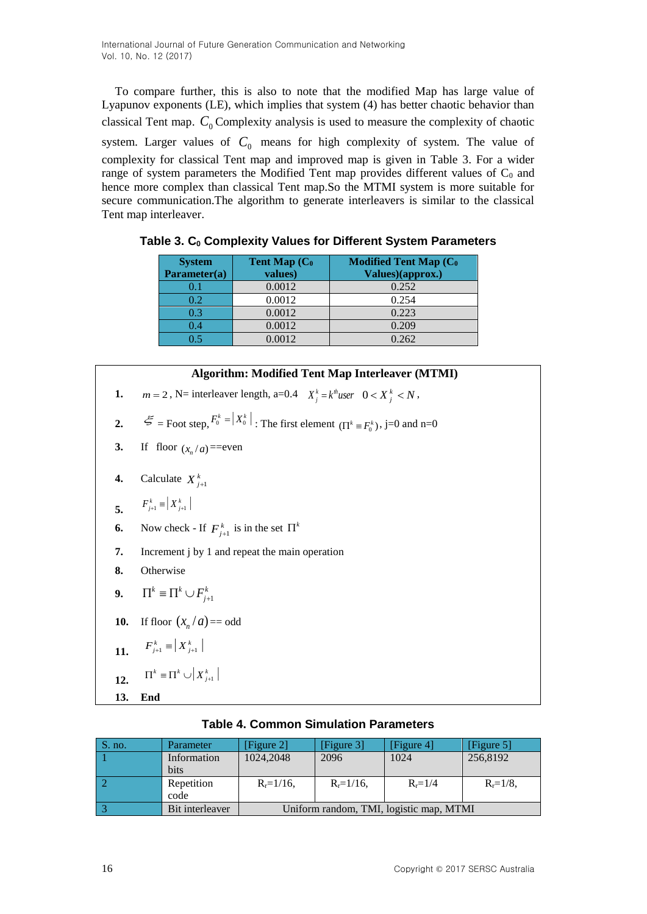To compare further, this is also to note that the modified Map has large value of Lyapunov exponents (LE), which implies that system (4) has better chaotic behavior than classical Tent map.  $C_0$  Complexity analysis is used to measure the complexity of chaotic system. Larger values of  $C_0$  means for high complexity of system. The value of complexity for classical Tent map and improved map is given in Table 3. For a wider range of system parameters the Modified Tent map provides different values of  $C_0$  and hence more complex than classical Tent map.So the MTMI system is more suitable for secure communication.The algorithm to generate interleavers is similar to the classical Tent map interleaver.

| <b>System</b><br>Parameter(a) | Tent Map (C <sub>0</sub><br>values) | <b>Modified Tent Map (Co</b><br>Values)(approx.) |
|-------------------------------|-------------------------------------|--------------------------------------------------|
| 0.1                           | 0.0012                              | 0.252                                            |
| 0.2                           | 0.0012                              | 0.254                                            |
| 0.3                           | 0.0012                              | 0.223                                            |
| 0.4                           | 0.0012                              | 0.209                                            |
| 0.5                           | 0.0012                              | 0.262                                            |

**Table 3. C<sup>0</sup> Complexity Values for Different System Parameters**

#### **Algorithm: Modified Tent Map Interleaver (MTMI)**

- **1.** *m* = 2, N= interleaver length, a=0.4  $X_j^k = k^k \text{,}$  *N s*  $0 < X_j^k < N$ ,
- **2.**  $\mathcal{L} =$  Foot step,  $F_0^k = |X_0^k|$ : The first element ( $\Pi^k = F_0^k$ ), j=0 and n=0
- **3.** If floor  $(x_n/a) =$  = even
- **4.** Calculate  $X_{j+1}^k$

$$
F_{j+1}^k = |X_{j+1}^k|
$$

- **6.** Now check If  $F_{j+1}^k$  is in the set  $\Pi^k$
- **7.** Increment j by 1 and repeat the main operation
- **8.** Otherwise

$$
9. \qquad \Pi^k \equiv \Pi^k \cup F_{j+1}^k
$$

- **10.** If floor  $(x_n/a) = \text{odd}$
- **11.**  $F_{j+1}^k \equiv \left| X_{j+1}^k \right|$
- **12.**  $\prod^k \leftarrow \prod^k \cup \left| X^k_{j+1} \right|$
- **13. End**

| S. no. | Parameter       | [Figure 2]     | [Figure 3]     | [Figure 4]                              | [Figure $5$ ] |
|--------|-----------------|----------------|----------------|-----------------------------------------|---------------|
|        | Information     | 1024,2048      | 2096           | 1024                                    | 256,8192      |
|        | bits            |                |                |                                         |               |
|        | Repetition      | $R_r = 1/16$ , | $R_r = 1/16$ , | $R_r = 1/4$                             | $R_r = 1/8$ , |
|        | code            |                |                |                                         |               |
|        | Bit interleaver |                |                | Uniform random, TMI, logistic map, MTMI |               |

### **Table 4. Common Simulation Parameters**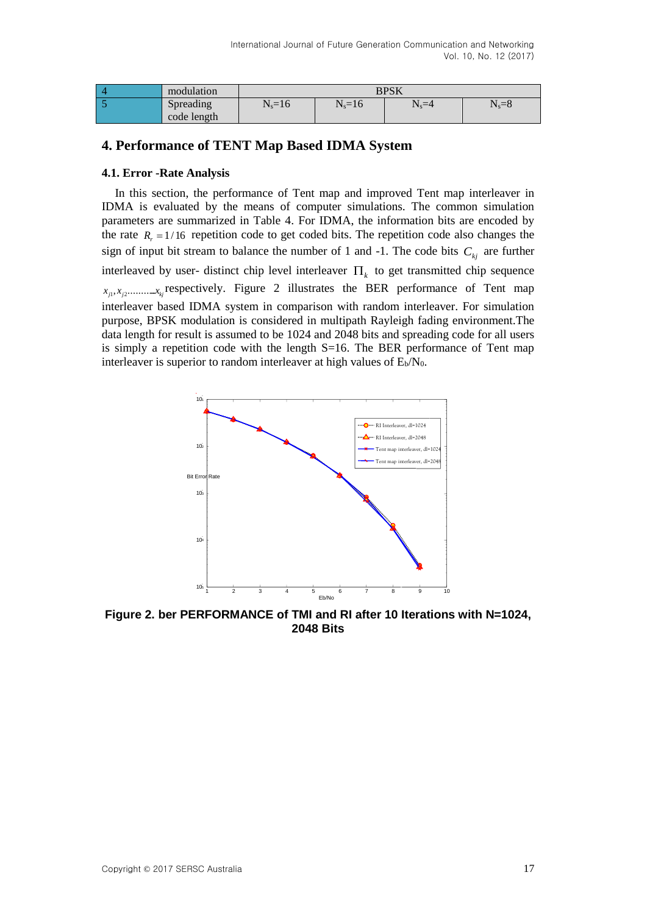| modulation               | <b>BPSK</b> |            |           |           |
|--------------------------|-------------|------------|-----------|-----------|
| Spreading<br>code length | $N_s = 16$  | $N_s = 16$ | $N_s = 4$ | $N_s = 8$ |

## **4. Performance of TENT Map Based IDMA System**

#### **4.1. Error -Rate Analysis**

In this section, the performance of Tent map and improved Tent map interleaver in IDMA is evaluated by the means of computer simulations. The common simulation parameters are summarized in Table 4. For IDMA, the information bits are encoded by the rate  $R<sub>r</sub> = 1/16$  repetition code to get coded bits. The repetition code also changes the sign of input bit stream to balance the number of 1 and  $-1$ . The code bits  $C_{kj}$  are further interleaved by user- distinct chip level interleaver  $\Pi_k$  to get transmitted chip sequence  $\hat{x}_{j_1}, \hat{x}_{j_2}, \dots, \hat{x}_{k_j}$  respectively. Figure 2 illustrates the BER performance of Tent map interleaver based IDMA system in comparison with random interleaver. For simulation purpose, BPSK modulation is considered in multipath Rayleigh fading environment.The data length for result is assumed to be 1024 and 2048 bits and spreading code for all users is simply a repetition code with the length S=16. The BER performance of Tent map interleaver is superior to random interleaver at high values of  $E_b/N_0$ .



**Figure 2. ber PERFORMANCE of TMI and RI after 10 Iterations with N=1024, 2048 Bits**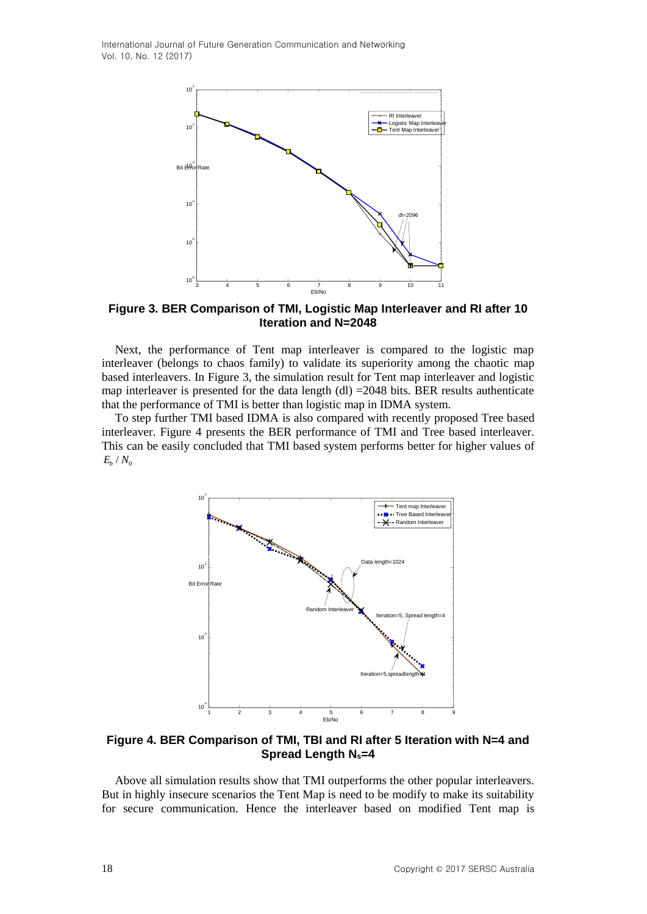

**Figure 3. BER Comparison of TMI, Logistic Map Interleaver and RI after 10 Iteration and N=2048**

Next, the performance of Tent map interleaver is compared to the logistic map interleaver (belongs to chaos family) to validate its superiority among the chaotic map based interleavers. In Figure 3, the simulation result for Tent map interleaver and logistic map interleaver is presented for the data length (dl)  $=$  2048 bits. BER results authenticate that the performance of TMI is better than logistic map in IDMA system.

To step further TMI based IDMA is also compared with recently proposed Tree based interleaver. Figure 4 presents the BER performance of TMI and Tree based interleaver. This can be easily concluded that TMI based system performs better for higher values of  $E_b$  /  $N_{\rm o}$ 



**Figure 4. BER Comparison of TMI, TBI and RI after 5 Iteration with N=4 and Spread Length Ns=4**

Above all simulation results show that TMI outperforms the other popular interleavers. But in highly insecure scenarios the Tent Map is need to be modify to make its suitability for secure communication. Hence the interleaver based on modified Tent map is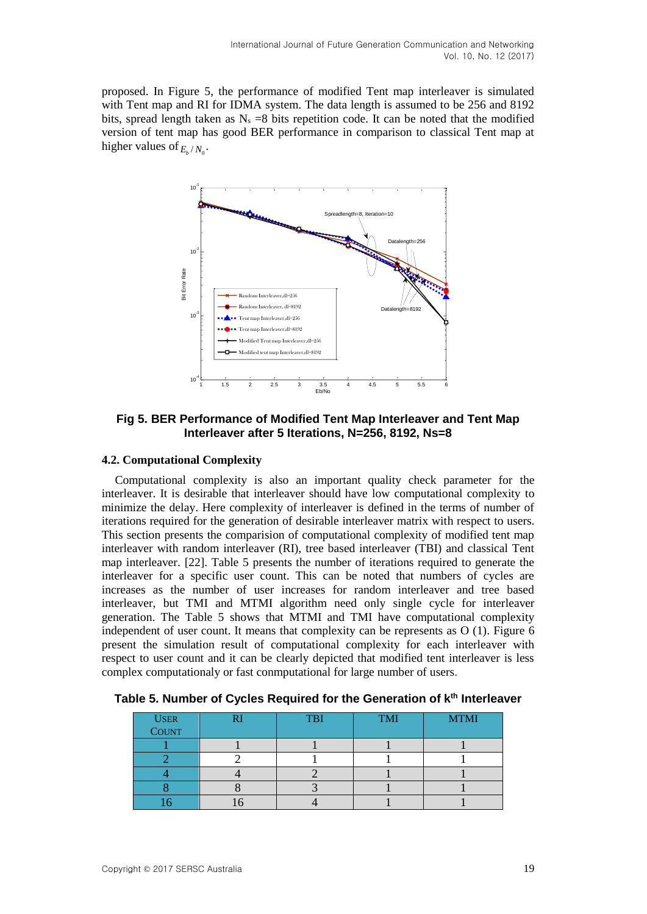proposed. In Figure 5, the performance of modified Tent map interleaver is simulated with Tent map and RI for IDMA system. The data length is assumed to be 256 and 8192 bits, spread length taken as  $N_s = 8$  bits repetition code. It can be noted that the modified version of tent map has good BER performance in comparison to classical Tent map at higher values of  $E_b/N_0$ .



**Fig 5. BER Performance of Modified Tent Map Interleaver and Tent Map Interleaver after 5 Iterations, N=256, 8192, Ns=8**

#### **4.2. Computational Complexity**

Computational complexity is also an important quality check parameter for the interleaver. It is desirable that interleaver should have low computational complexity to minimize the delay. Here complexity of interleaver is defined in the terms of number of iterations required for the generation of desirable interleaver matrix with respect to users. This section presents the comparision of computational complexity of modified tent map interleaver with random interleaver (RI), tree based interleaver (TBI) and classical Tent map interleaver. [22]. Table 5 presents the number of iterations required to generate the interleaver for a specific user count. This can be noted that numbers of cycles are increases as the number of user increases for random interleaver and tree based interleaver, but TMI and MTMI algorithm need only single cycle for interleaver generation. The Table 5 shows that MTMI and TMI have computational complexity independent of user count. It means that complexity can be represents as O (1). Figure 6 present the simulation result of computational complexity for each interleaver with respect to user count and it can be clearly depicted that modified tent interleaver is less complex computationaly or fast conmputational for large number of users.

| USER<br>COUNT | <b>TBI</b> | <b>TMI</b> | <b>MTMI</b> |
|---------------|------------|------------|-------------|
|               |            |            |             |
|               |            |            |             |
|               |            |            |             |
|               |            |            |             |
|               |            |            |             |

**Table 5. Number of Cycles Required for the Generation of kth Interleaver**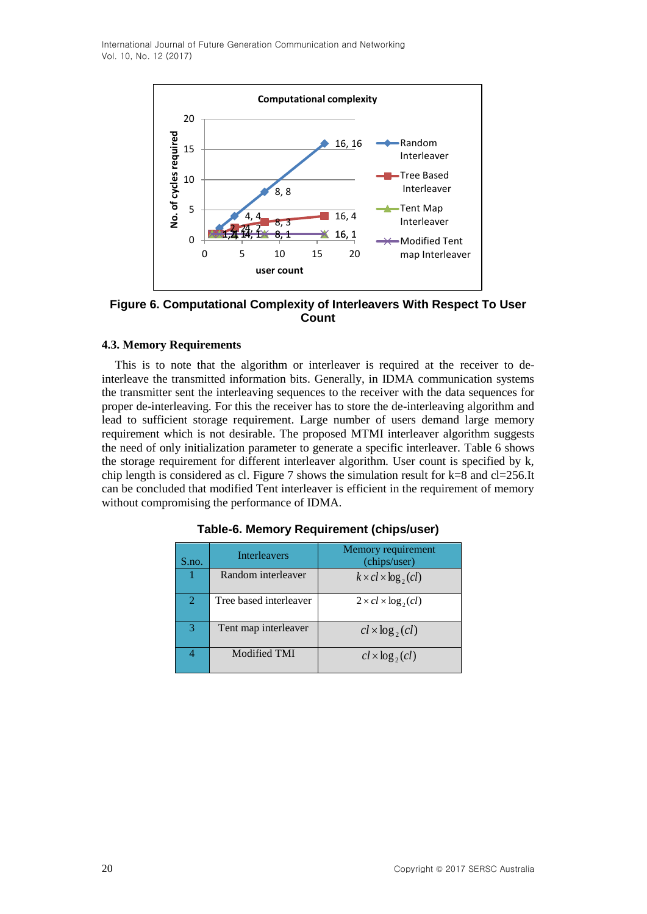

**Figure 6. Computational Complexity of Interleavers With Respect To User Count**

#### **4.3. Memory Requirements**

This is to note that the algorithm or interleaver is required at the receiver to deinterleave the transmitted information bits. Generally, in IDMA communication systems the transmitter sent the interleaving sequences to the receiver with the data sequences for proper de-interleaving. For this the receiver has to store the de-interleaving algorithm and lead to sufficient storage requirement. Large number of users demand large memory requirement which is not desirable. The proposed MTMI interleaver algorithm suggests the need of only initialization parameter to generate a specific interleaver. Table 6 shows the storage requirement for different interleaver algorithm. User count is specified by k, chip length is considered as cl. Figure 7 shows the simulation result for  $k=8$  and  $cl=256$ .It can be concluded that modified Tent interleaver is efficient in the requirement of memory without compromising the performance of IDMA.

| S.no. | <b>Interleavers</b>    | Memory requirement<br>(chips/user) |
|-------|------------------------|------------------------------------|
|       | Random interleaver     | $k \times cl \times \log_2(cl)$    |
| 2     | Tree based interleaver | $2 \times cl \times \log_2(cl)$    |
| 3     | Tent map interleaver   | $cl \times \log_2(cl)$             |
|       | Modified TMI           | $cl \times \log_2(cl)$             |

**Table-6. Memory Requirement (chips/user)**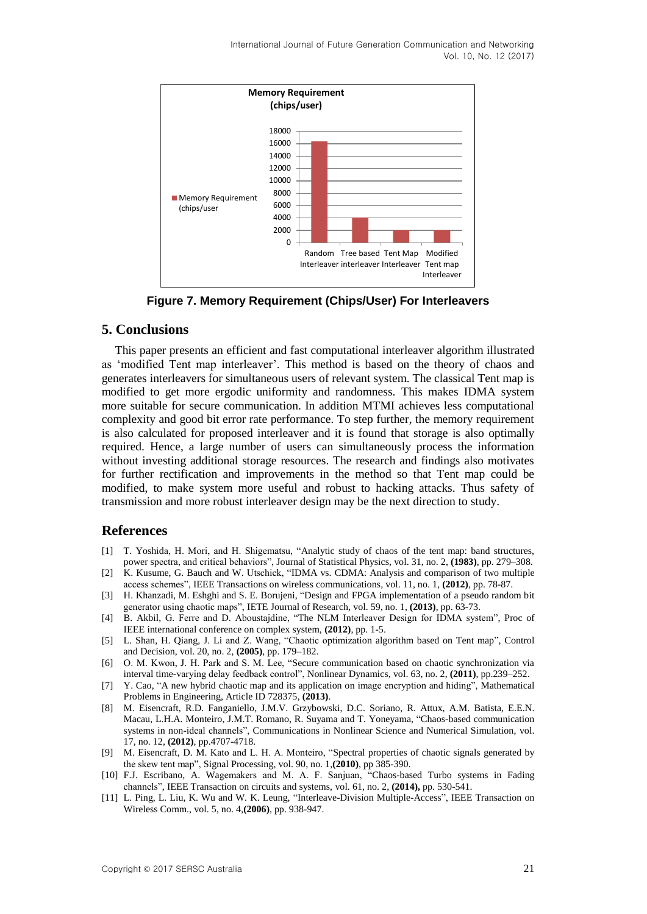

**Figure 7. Memory Requirement (Chips/User) For Interleavers**

### **5. Conclusions**

This paper presents an efficient and fast computational interleaver algorithm illustrated as 'modified Tent map interleaver'. This method is based on the theory of chaos and generates interleavers for simultaneous users of relevant system. The classical Tent map is modified to get more ergodic uniformity and randomness. This makes IDMA system more suitable for secure communication. In addition MTMI achieves less computational complexity and good bit error rate performance. To step further, the memory requirement is also calculated for proposed interleaver and it is found that storage is also optimally required. Hence, a large number of users can simultaneously process the information without investing additional storage resources. The research and findings also motivates for further rectification and improvements in the method so that Tent map could be modified, to make system more useful and robust to hacking attacks. Thus safety of transmission and more robust interleaver design may be the next direction to study.

### **References**

- [1] T. Yoshida, H. Mori, and H. Shigematsu, "Analytic study of chaos of the tent map: band structures, power spectra, and critical behaviors", Journal of Statistical Physics, vol. 31, no. 2, **(1983)**, pp. 279–308.
- [2] K. Kusume, G. Bauch and W. Utschick, "IDMA vs. CDMA: Analysis and comparison of two multiple access schemes", IEEE Transactions on wireless communications, vol. 11, no. 1, **(2012)**, pp. 78-87.
- [3] H. Khanzadi, M. Eshghi and S. E. Borujeni, "Design and FPGA implementation of a pseudo random bit generator using chaotic maps", IETE Journal of Research, vol. 59, no. 1, **(2013)**, pp. 63-73.
- [4] B. Akbil, G. Ferre and D. Aboustajdine, "The NLM Interleaver Design for IDMA system", Proc of IEEE international conference on complex system, **(2012)**, pp. 1-5.
- [5] L. Shan, H. Qiang, J. Li and Z. Wang, "Chaotic optimization algorithm based on Tent map", Control and Decision, vol. 20, no. 2, **(2005)**, pp. 179–182.
- [6] O. M. Kwon, J. H. Park and S. M. Lee, "Secure communication based on chaotic synchronization via interval time-varying delay feedback control", Nonlinear Dynamics, vol. 63, no. 2, **(2011)**, pp.239–252.
- [7] Y. Cao, "A new hybrid chaotic map and its application on image encryption and hiding", Mathematical Problems in Engineering, Article ID 728375, **(2013)**.
- [8] M. Eisencraft, R.D. Fanganiello, J.M.V. Grzybowski, D.C. Soriano, R. Attux, A.M. Batista, E.E.N. Macau, L.H.A. Monteiro, J.M.T. Romano, R. Suyama and T. Yoneyama, "Chaos-based communication systems in non-ideal channels", Communications in Nonlinear Science and Numerical Simulation, vol. 17, no. 12, **(2012)**, pp.4707-4718.
- [9] M. Eisencraft, D. M. Kato and L. H. A. Monteiro, "Spectral properties of chaotic signals generated by the skew tent map", Signal Processing, vol. 90, no. 1,**(2010)**, pp 385-390.
- [10] F.J. Escribano, A. Wagemakers and M. A. F. Sanjuan, "Chaos-based Turbo systems in Fading channels", IEEE Transaction on circuits and systems, vol. 61, no. 2, **(2014),** pp. 530-541.
- [11] L. Ping, L. Liu, K. Wu and W. K. Leung, "Interleave-Division Multiple-Access", IEEE Transaction on Wireless Comm., vol. 5, no. 4,**(2006)**, pp. 938-947.